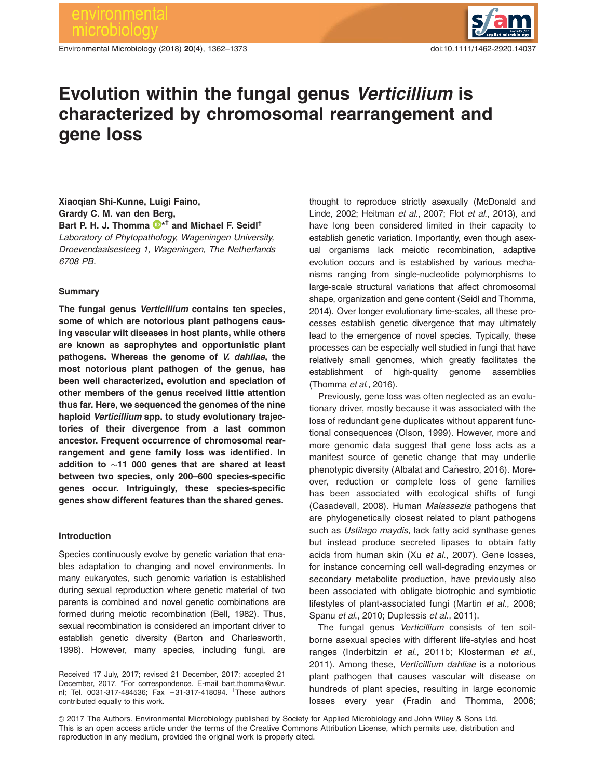Environmental Microbiology (2018) 20(4), 1362–1373 doi:10.1111/1462-2920.14037



# Evolution within the fungal genus Verticillium is characterized by chromosomal rearrangement and gene loss

Xiaoqian Shi-Kunne, Luigi Faino, Grardy C. M. van den Berg, Bart P. H. J. Thomma  $\mathbf{D}^{\star\dagger}$  and Michael F. Seidl<sup>†</sup> Laboratory of Phytopathology, Wageningen University, Droevendaalsesteeg 1, Wageningen, The Netherlands 6708 PB.

## **Summary**

The fungal genus Verticillium contains ten species, some of which are notorious plant pathogens causing vascular wilt diseases in host plants, while others are known as saprophytes and opportunistic plant pathogens. Whereas the genome of V. dahliae, the most notorious plant pathogen of the genus, has been well characterized, evolution and speciation of other members of the genus received little attention thus far. Here, we sequenced the genomes of the nine haploid Verticillium spp. to study evolutionary trajectories of their divergence from a last common ancestor. Frequent occurrence of chromosomal rearrangement and gene family loss was identified. In addition to  ${\sim}$ 11 000 genes that are shared at least between two species, only 200–600 species-specific genes occur. Intriguingly, these species-specific genes show different features than the shared genes.

## Introduction

Species continuously evolve by genetic variation that enables adaptation to changing and novel environments. In many eukaryotes, such genomic variation is established during sexual reproduction where genetic material of two parents is combined and novel genetic combinations are formed during meiotic recombination (Bell, 1982). Thus, sexual recombination is considered an important driver to establish genetic diversity (Barton and Charlesworth, 1998). However, many species, including fungi, are

Received 17 July, 2017; revised 21 December, 2017; accepted 21 December, 2017. \*For correspondence. E-mail bart.thomma@wur. nl; Tel. 0031-317-484536; Fax +31-317-418094. <sup>†</sup>These authors contributed equally to this work.

thought to reproduce strictly asexually (McDonald and Linde, 2002; Heitman et al., 2007; Flot et al., 2013), and have long been considered limited in their capacity to establish genetic variation. Importantly, even though asexual organisms lack meiotic recombination, adaptive evolution occurs and is established by various mechanisms ranging from single-nucleotide polymorphisms to large-scale structural variations that affect chromosomal shape, organization and gene content (Seidl and Thomma, 2014). Over longer evolutionary time-scales, all these processes establish genetic divergence that may ultimately lead to the emergence of novel species. Typically, these processes can be especially well studied in fungi that have relatively small genomes, which greatly facilitates the establishment of high-quality genome assemblies (Thomma et al., 2016).

Previously, gene loss was often neglected as an evolutionary driver, mostly because it was associated with the loss of redundant gene duplicates without apparent functional consequences (Olson, 1999). However, more and more genomic data suggest that gene loss acts as a manifest source of genetic change that may underlie phenotypic diversity (Albalat and Cañestro, 2016). Moreover, reduction or complete loss of gene families has been associated with ecological shifts of fungi (Casadevall, 2008). Human Malassezia pathogens that are phylogenetically closest related to plant pathogens such as Ustilago maydis, lack fatty acid synthase genes but instead produce secreted lipases to obtain fatty acids from human skin (Xu et al., 2007). Gene losses, for instance concerning cell wall-degrading enzymes or secondary metabolite production, have previously also been associated with obligate biotrophic and symbiotic lifestyles of plant-associated fungi (Martin et al., 2008; Spanu et al., 2010; Duplessis et al., 2011).

The fungal genus Verticillium consists of ten soilborne asexual species with different life-styles and host ranges (Inderbitzin et al., 2011b; Klosterman et al., 2011). Among these, Verticillium dahliae is a notorious plant pathogen that causes vascular wilt disease on hundreds of plant species, resulting in large economic losses every year (Fradin and Thomma, 2006;

 $©$  2017 The Authors. Environmental Microbiology published by Society for Applied Microbiology and John Wiley & Sons Ltd. This is an open access article under the terms of the Creative Commons Attribution License, which permits use, distribution and reproduction in any medium, provided the original work is properly cited.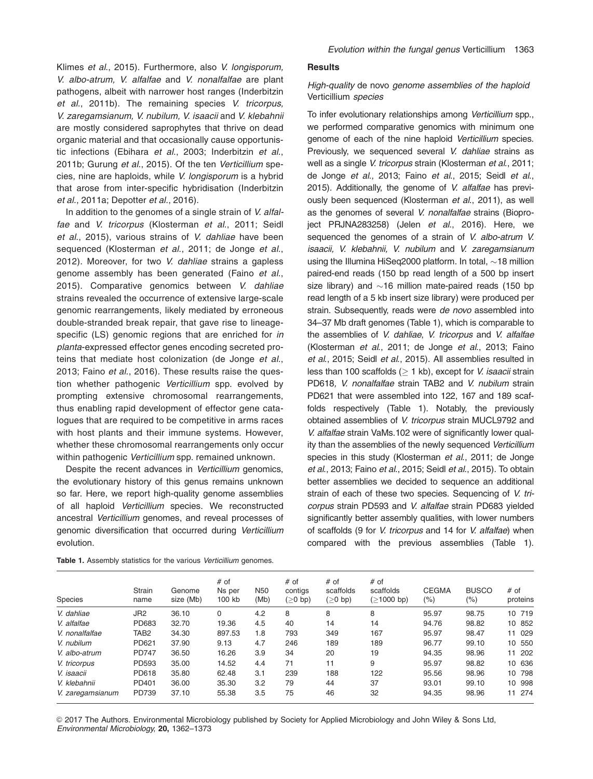Klimes et al., 2015). Furthermore, also V. longisporum, V. albo-atrum, V. alfalfae and V. nonalfalfae are plant pathogens, albeit with narrower host ranges (Inderbitzin et al., 2011b). The remaining species V. tricorpus, V. zaregamsianum, V. nubilum, V. isaacii and V. klebahnii are mostly considered saprophytes that thrive on dead organic material and that occasionally cause opportunistic infections (Ebihara et al., 2003; Inderbitzin et al., 2011b; Gurung et al., 2015). Of the ten Verticillium species, nine are haploids, while V. longisporum is a hybrid that arose from inter-specific hybridisation (Inderbitzin et al., 2011a; Depotter et al., 2016).

In addition to the genomes of a single strain of V. alfalfae and V. tricorpus (Klosterman et al., 2011; Seidl et al., 2015), various strains of V. dahliae have been sequenced (Klosterman et al., 2011; de Jonge et al., 2012). Moreover, for two V. dahliae strains a gapless genome assembly has been generated (Faino et al., 2015). Comparative genomics between V. dahliae strains revealed the occurrence of extensive large-scale genomic rearrangements, likely mediated by erroneous double-stranded break repair, that gave rise to lineagespecific (LS) genomic regions that are enriched for in planta-expressed effector genes encoding secreted proteins that mediate host colonization (de Jonge et al., 2013; Faino et al., 2016). These results raise the question whether pathogenic Verticillium spp. evolved by prompting extensive chromosomal rearrangements, thus enabling rapid development of effector gene catalogues that are required to be competitive in arms races with host plants and their immune systems. However, whether these chromosomal rearrangements only occur within pathogenic Verticillium spp. remained unknown.

Despite the recent advances in Verticillium genomics, the evolutionary history of this genus remains unknown so far. Here, we report high-quality genome assemblies of all haploid Verticillium species. We reconstructed ancestral Verticillium genomes, and reveal processes of genomic diversification that occurred during Verticillium evolution.

#### **Results**

# High-quality de novo genome assemblies of the haploid Verticillium species

To infer evolutionary relationships among Verticillium spp., we performed comparative genomics with minimum one genome of each of the nine haploid Verticillium species. Previously, we sequenced several V. dahliae strains as well as a single V. tricorpus strain (Klosterman et al., 2011; de Jonge et al., 2013; Faino et al., 2015; Seidl et al., 2015). Additionally, the genome of V. alfalfae has previously been sequenced (Klosterman et al., 2011), as well as the genomes of several V. nonalfalfae strains (Bioproject PRJNA283258) (Jelen et al., 2016). Here, we sequenced the genomes of a strain of V. albo-atrum V. isaacii, V. klebahnii, V. nubilum and V. zaregamsianum using the Illumina HiSeq2000 platform. In total,  $\sim$ 18 million paired-end reads (150 bp read length of a 500 bp insert size library) and  $\sim$ 16 million mate-paired reads (150 bp read length of a 5 kb insert size library) were produced per strain. Subsequently, reads were de novo assembled into 34–37 Mb draft genomes (Table 1), which is comparable to the assemblies of V. dahliae, V. tricorpus and V. alfalfae (Klosterman et al., 2011; de Jonge et al., 2013; Faino et al., 2015; Seidl et al., 2015). All assemblies resulted in less than 100 scaffolds ( $> 1$  kb), except for *V. isaacii* strain PD618, V. nonalfalfae strain TAB2 and V. nubilum strain PD621 that were assembled into 122, 167 and 189 scaffolds respectively (Table 1). Notably, the previously obtained assemblies of V. tricorpus strain MUCL9792 and V. alfalfae strain VaMs.102 were of significantly lower quality than the assemblies of the newly sequenced Verticillium species in this study (Klosterman et al., 2011; de Jonge et al., 2013; Faino et al., 2015; Seidl et al., 2015). To obtain better assemblies we decided to sequence an additional strain of each of these two species. Sequencing of V. tricorpus strain PD593 and V. alfalfae strain PD683 yielded significantly better assembly qualities, with lower numbers of scaffolds (9 for V. tricorpus and 14 for V. alfalfae) when compared with the previous assemblies (Table 1).

| Species          | Strain<br>name   | Genome<br>size (Mb) | # of<br>Ns per<br>100 kb | N <sub>50</sub><br>(Mb) | # of<br>contigs<br>$(ge 0$ bp) | $#$ of<br>scaffolds<br>$(ge0$ bp) | # of<br>scaffolds<br>$($ 21000 bp) | <b>CEGMA</b><br>(%) | <b>BUSCO</b><br>(%) | # of<br>proteins |
|------------------|------------------|---------------------|--------------------------|-------------------------|--------------------------------|-----------------------------------|------------------------------------|---------------------|---------------------|------------------|
| V. dahliae       | JR2              | 36.10               | 0                        | 4.2                     | 8                              | 8                                 | 8                                  | 95.97               | 98.75               | 10 719           |
| V. alfalfae      | PD683            | 32.70               | 19.36                    | 4.5                     | 40                             | 14                                | 14                                 | 94.76               | 98.82               | 10 852           |
| V. nonalfalfae   | TAB <sub>2</sub> | 34.30               | 897.53                   | 1.8                     | 793                            | 349                               | 167                                | 95.97               | 98.47               | 029<br>11        |
| V. nubilum       | PD621            | 37.90               | 9.13                     | 4.7                     | 246                            | 189                               | 189                                | 96.77               | 99.10               | 10 550           |
| V. albo-atrum    | <b>PD747</b>     | 36.50               | 16.26                    | 3.9                     | 34                             | 20                                | 19                                 | 94.35               | 98.96               | 202<br>11        |
| V. tricorpus     | PD593            | 35.00               | 14.52                    | 4.4                     | 71                             | 11                                | 9                                  | 95.97               | 98.82               | 10 636           |
| V. isaacii       | PD618            | 35.80               | 62.48                    | 3.1                     | 239                            | 188                               | 122                                | 95.56               | 98.96               | 10 798           |
| V. klebahnii     | PD401            | 36.00               | 35.30                    | 3.2                     | 79                             | 44                                | 37                                 | 93.01               | 99.10               | 10 998           |
| V. zaregamsianum | PD739            | 37.10               | 55.38                    | 3.5                     | 75                             | 46                                | 32                                 | 94.35               | 98.96               | 11 274           |

Table 1. Assembly statistics for the various Verticillium genomes.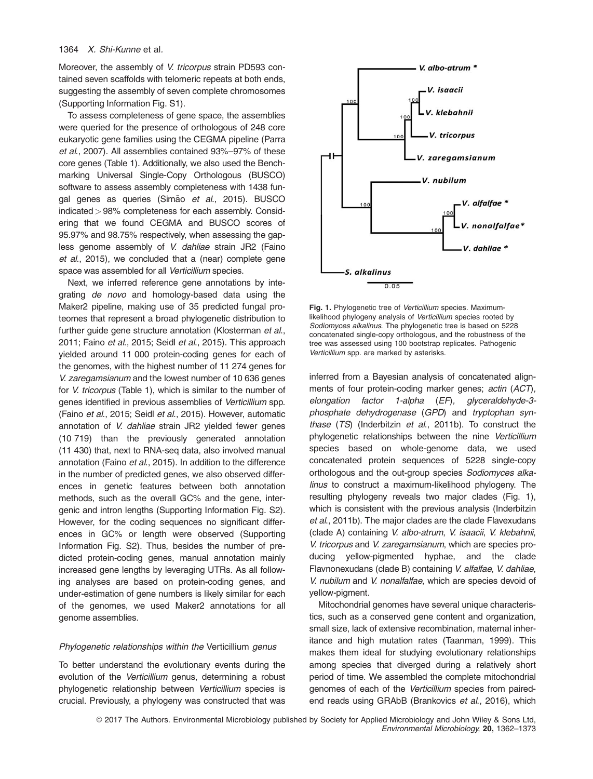Moreover, the assembly of V. tricorpus strain PD593 contained seven scaffolds with telomeric repeats at both ends, suggesting the assembly of seven complete chromosomes (Supporting Information Fig. S1).

To assess completeness of gene space, the assemblies were queried for the presence of orthologous of 248 core eukaryotic gene families using the CEGMA pipeline (Parra et al., 2007). All assemblies contained 93%–97% of these core genes (Table 1). Additionally, we also used the Benchmarking Universal Single-Copy Orthologous (BUSCO) software to assess assembly completeness with 1438 fungal genes as queries (Simão et al., 2015). BUSCO indicated> 98% completeness for each assembly. Considering that we found CEGMA and BUSCO scores of 95.97% and 98.75% respectively, when assessing the gapless genome assembly of V. dahliae strain JR2 (Faino et al., 2015), we concluded that a (near) complete gene space was assembled for all Verticillium species.

Next, we inferred reference gene annotations by integrating de novo and homology-based data using the Maker2 pipeline, making use of 35 predicted fungal proteomes that represent a broad phylogenetic distribution to further quide gene structure annotation (Klosterman et al., 2011; Faino et al., 2015; Seidl et al., 2015). This approach yielded around 11 000 protein-coding genes for each of the genomes, with the highest number of 11 274 genes for V. zaregamsianum and the lowest number of 10 636 genes for *V. tricorpus* (Table 1), which is similar to the number of genes identified in previous assemblies of Verticillium spp. (Faino et al., 2015; Seidl et al., 2015). However, automatic annotation of V. dahliae strain JR2 yielded fewer genes (10 719) than the previously generated annotation (11 430) that, next to RNA-seq data, also involved manual annotation (Faino et al., 2015). In addition to the difference in the number of predicted genes, we also observed differences in genetic features between both annotation methods, such as the overall GC% and the gene, intergenic and intron lengths (Supporting Information Fig. S2). However, for the coding sequences no significant differences in GC% or length were observed (Supporting Information Fig. S2). Thus, besides the number of predicted protein-coding genes, manual annotation mainly increased gene lengths by leveraging UTRs. As all following analyses are based on protein-coding genes, and under-estimation of gene numbers is likely similar for each of the genomes, we used Maker2 annotations for all genome assemblies.

## Phylogenetic relationships within the Verticillium genus

To better understand the evolutionary events during the evolution of the Verticillium genus, determining a robust phylogenetic relationship between Verticillium species is crucial. Previously, a phylogeny was constructed that was



Fig. 1. Phylogenetic tree of Verticillium species. Maximumlikelihood phylogeny analysis of Verticillium species rooted by Sodiomyces alkalinus. The phylogenetic tree is based on 5228 concatenated single-copy orthologous, and the robustness of the tree was assessed using 100 bootstrap replicates. Pathogenic Verticillium spp. are marked by asterisks.

inferred from a Bayesian analysis of concatenated alignments of four protein-coding marker genes; actin (ACT),<br>elongation factor 1-alpha (EF), glyceraldehyde-3elongation factor 1-alpha  $(EF)$ , phosphate dehydrogenase (GPD) and tryptophan synthase (TS) (Inderbitzin et al., 2011b). To construct the phylogenetic relationships between the nine Verticillium species based on whole-genome data, we used concatenated protein sequences of 5228 single-copy orthologous and the out-group species Sodiomyces alkalinus to construct a maximum-likelihood phylogeny. The resulting phylogeny reveals two major clades (Fig. 1), which is consistent with the previous analysis (Inderbitzin et al., 2011b). The major clades are the clade Flavexudans (clade A) containing V. albo-atrum, V. isaacii, V. klebahnii, V. tricorpus and V. zaregamsianum, which are species producing yellow-pigmented hyphae, and the clade Flavnonexudans (clade B) containing V. alfalfae, V. dahliae, V. nubilum and V. nonalfalfae, which are species devoid of yellow-pigment.

Mitochondrial genomes have several unique characteristics, such as a conserved gene content and organization, small size, lack of extensive recombination, maternal inheritance and high mutation rates (Taanman, 1999). This makes them ideal for studying evolutionary relationships among species that diverged during a relatively short period of time. We assembled the complete mitochondrial genomes of each of the Verticillium species from pairedend reads using GRAbB (Brankovics et al., 2016), which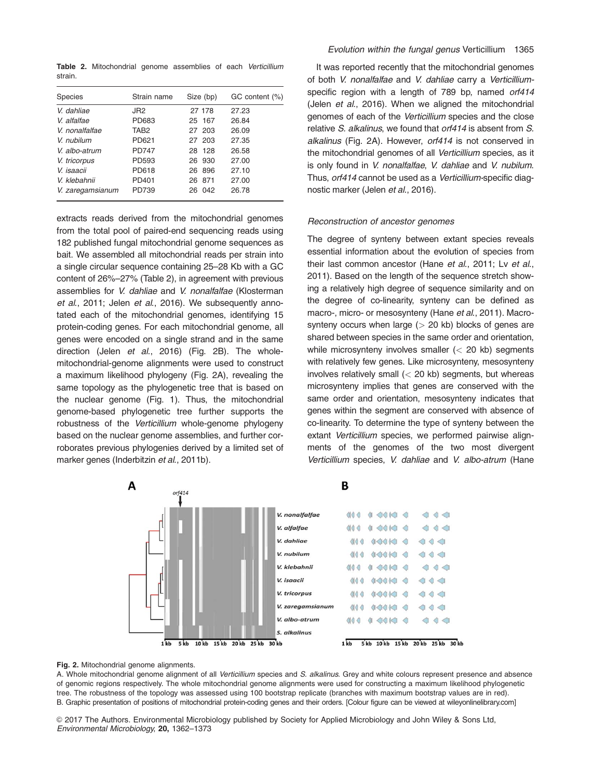Table 2. Mitochondrial genome assemblies of each Verticillium strain.

| <b>Species</b>   | Strain name      | Size (bp) | GC content (%) |
|------------------|------------------|-----------|----------------|
| V. dahliae       | JR <sub>2</sub>  | 27 178    | 27.23          |
| V. alfalfae      | PD683            | 25 167    | 26.84          |
| V. nonalfalfae   | TAB <sub>2</sub> | 27 203    | 26.09          |
| V. nubilum       | PD621            | 27 203    | 27.35          |
| V. albo-atrum    | <b>PD747</b>     | 28 128    | 26.58          |
| V. tricorpus     | PD593            | 26 930    | 27.00          |
| V. isaacii       | PD618            | 896<br>26 | 27.10          |
| V. klebahnii     | PD401            | 871<br>26 | 27.00          |
| V. zaregamsianum | PD739            | 042<br>26 | 26.78          |

extracts reads derived from the mitochondrial genomes from the total pool of paired-end sequencing reads using 182 published fungal mitochondrial genome sequences as bait. We assembled all mitochondrial reads per strain into a single circular sequence containing 25–28 Kb with a GC content of 26%–27% (Table 2), in agreement with previous assemblies for V. dahliae and V. nonalfalfae (Klosterman et al., 2011; Jelen et al., 2016). We subsequently annotated each of the mitochondrial genomes, identifying 15 protein-coding genes. For each mitochondrial genome, all genes were encoded on a single strand and in the same direction (Jelen et al., 2016) (Fig. 2B). The wholemitochondrial-genome alignments were used to construct a maximum likelihood phylogeny (Fig. 2A), revealing the same topology as the phylogenetic tree that is based on the nuclear genome (Fig. 1). Thus, the mitochondrial genome-based phylogenetic tree further supports the robustness of the Verticillium whole-genome phylogeny based on the nuclear genome assemblies, and further corroborates previous phylogenies derived by a limited set of marker genes (Inderbitzin et al., 2011b).

It was reported recently that the mitochondrial genomes of both V. nonalfalfae and V. dahliae carry a Verticilliumspecific region with a length of 789 bp, named orf414 (Jelen et al., 2016). When we aligned the mitochondrial genomes of each of the Verticillium species and the close relative S. alkalinus, we found that orf414 is absent from S. alkalinus (Fig. 2A). However, orf414 is not conserved in the mitochondrial genomes of all Verticillium species, as it is only found in V. nonalfalfae, V. dahliae and V. nubilum. Thus, orf414 cannot be used as a Verticillium-specific diagnostic marker (Jelen et al., 2016).

## Reconstruction of ancestor genomes

The degree of synteny between extant species reveals essential information about the evolution of species from their last common ancestor (Hane et al., 2011; Lv et al., 2011). Based on the length of the sequence stretch showing a relatively high degree of sequence similarity and on the degree of co-linearity, synteny can be defined as macro-, micro- or mesosynteny (Hane et al., 2011). Macrosynteny occurs when large  $(> 20$  kb) blocks of genes are shared between species in the same order and orientation, while microsynteny involves smaller (< 20 kb) segments with relatively few genes. Like microsynteny, mesosynteny involves relatively small  $( $20 \text{ kb}$ ) segments, but whereas$ microsynteny implies that genes are conserved with the same order and orientation, mesosynteny indicates that genes within the segment are conserved with absence of co-linearity. To determine the type of synteny between the extant Verticillium species, we performed pairwise alignments of the genomes of the two most divergent Verticillium species, V. dahliae and V. albo-atrum (Hane



Fig. 2. Mitochondrial genome alignments.

A. Whole mitochondrial genome alignment of all Verticillium species and S. alkalinus. Grey and white colours represent presence and absence of genomic regions respectively. The whole mitochondrial genome alignments were used for constructing a maximum likelihood phylogenetic tree. The robustness of the topology was assessed using 100 bootstrap replicate (branches with maximum bootstrap values are in red). B. Graphic presentation of positions of mitochondrial protein-coding genes and their orders. [Colour figure can be viewed at [wileyonlinelibrary.com](http://wileyonlinelibrary.com)]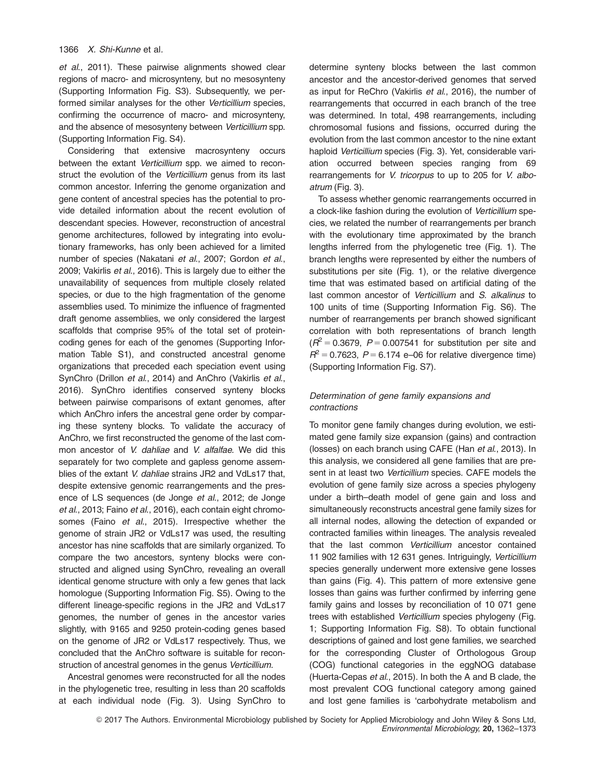et al., 2011). These pairwise alignments showed clear regions of macro- and microsynteny, but no mesosynteny (Supporting Information Fig. S3). Subsequently, we performed similar analyses for the other Verticillium species, confirming the occurrence of macro- and microsynteny, and the absence of mesosynteny between Verticillium spp. (Supporting Information Fig. S4).

Considering that extensive macrosynteny occurs between the extant Verticillium spp. we aimed to reconstruct the evolution of the Verticillium genus from its last common ancestor. Inferring the genome organization and gene content of ancestral species has the potential to provide detailed information about the recent evolution of descendant species. However, reconstruction of ancestral genome architectures, followed by integrating into evolutionary frameworks, has only been achieved for a limited number of species (Nakatani et al., 2007; Gordon et al., 2009; Vakirlis et al., 2016). This is largely due to either the unavailability of sequences from multiple closely related species, or due to the high fragmentation of the genome assemblies used. To minimize the influence of fragmented draft genome assemblies, we only considered the largest scaffolds that comprise 95% of the total set of proteincoding genes for each of the genomes (Supporting Information Table S1), and constructed ancestral genome organizations that preceded each speciation event using SynChro (Drillon et al., 2014) and AnChro (Vakirlis et al., 2016). SynChro identifies conserved synteny blocks between pairwise comparisons of extant genomes, after which AnChro infers the ancestral gene order by comparing these synteny blocks. To validate the accuracy of AnChro, we first reconstructed the genome of the last common ancestor of V. dahliae and V. alfalfae. We did this separately for two complete and gapless genome assemblies of the extant V. dahliae strains JR2 and VdLs17 that, despite extensive genomic rearrangements and the presence of LS sequences (de Jonge et al., 2012; de Jonge et al., 2013; Faino et al., 2016), each contain eight chromosomes (Faino et al., 2015). Irrespective whether the genome of strain JR2 or VdLs17 was used, the resulting ancestor has nine scaffolds that are similarly organized. To compare the two ancestors, synteny blocks were constructed and aligned using SynChro, revealing an overall identical genome structure with only a few genes that lack homologue (Supporting Information Fig. S5). Owing to the different lineage-specific regions in the JR2 and VdLs17 genomes, the number of genes in the ancestor varies slightly, with 9165 and 9250 protein-coding genes based on the genome of JR2 or VdLs17 respectively. Thus, we concluded that the AnChro software is suitable for reconstruction of ancestral genomes in the genus Verticillium.

Ancestral genomes were reconstructed for all the nodes in the phylogenetic tree, resulting in less than 20 scaffolds at each individual node (Fig. 3). Using SynChro to

determine synteny blocks between the last common ancestor and the ancestor-derived genomes that served as input for ReChro (Vakirlis et al., 2016), the number of rearrangements that occurred in each branch of the tree was determined. In total, 498 rearrangements, including chromosomal fusions and fissions, occurred during the evolution from the last common ancestor to the nine extant haploid Verticillium species (Fig. 3). Yet, considerable variation occurred between species ranging from 69 rearrangements for V. tricorpus to up to 205 for V. alboatrum (Fig. 3).

To assess whether genomic rearrangements occurred in a clock-like fashion during the evolution of Verticillium species, we related the number of rearrangements per branch with the evolutionary time approximated by the branch lengths inferred from the phylogenetic tree (Fig. 1). The branch lengths were represented by either the numbers of substitutions per site (Fig. 1), or the relative divergence time that was estimated based on artificial dating of the last common ancestor of Verticillium and S. alkalinus to 100 units of time (Supporting Information Fig. S6). The number of rearrangements per branch showed significant correlation with both representations of branch length  $(R^2 = 0.3679, P = 0.007541$  for substitution per site and  $R^2$  = 0.7623, P = 6.174 e–06 for relative divergence time) (Supporting Information Fig. S7).

# Determination of gene family expansions and contractions

To monitor gene family changes during evolution, we estimated gene family size expansion (gains) and contraction (losses) on each branch using CAFE (Han et al., 2013). In this analysis, we considered all gene families that are present in at least two Verticillium species. CAFE models the evolution of gene family size across a species phylogeny under a birth–death model of gene gain and loss and simultaneously reconstructs ancestral gene family sizes for all internal nodes, allowing the detection of expanded or contracted families within lineages. The analysis revealed that the last common Verticillium ancestor contained 11 902 families with 12 631 genes. Intriguingly, Verticillium species generally underwent more extensive gene losses than gains (Fig. 4). This pattern of more extensive gene losses than gains was further confirmed by inferring gene family gains and losses by reconciliation of 10 071 gene trees with established Verticillium species phylogeny (Fig. 1; Supporting Information Fig. S8). To obtain functional descriptions of gained and lost gene families, we searched for the corresponding Cluster of Orthologous Group (COG) functional categories in the eggNOG database (Huerta-Cepas et al., 2015). In both the A and B clade, the most prevalent COG functional category among gained and lost gene families is 'carbohydrate metabolism and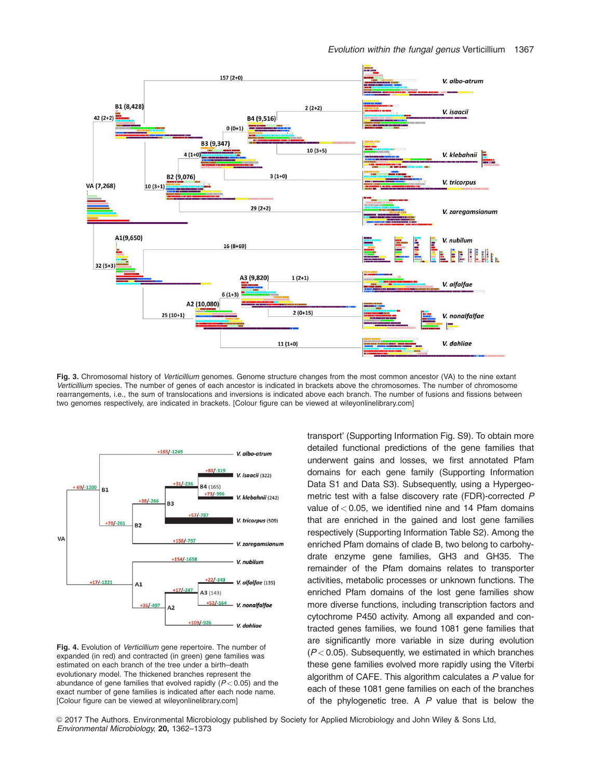

Fig. 3. Chromosomal history of Verticillium genomes. Genome structure changes from the most common ancestor (VA) to the nine extant Verticillium species. The number of genes of each ancestor is indicated in brackets above the chromosomes. The number of chromosome rearrangements, i.e., the sum of translocations and inversions is indicated above each branch. The number of fusions and fissions between two genomes respectively, are indicated in brackets. [Colour figure can be viewed at [wileyonlinelibrary.com\]](http://wileyonlinelibrary.com)



Fig. 4. Evolution of Verticillium gene repertoire. The number of expanded (in red) and contracted (in green) gene families was estimated on each branch of the tree under a birth–death evolutionary model. The thickened branches represent the abundance of gene families that evolved rapidly  $(P < 0.05)$  and the exact number of gene families is indicated after each node name. [Colour figure can be viewed at [wileyonlinelibrary.com\]](http://wileyonlinelibrary.com)

transport' (Supporting Information Fig. S9). To obtain more detailed functional predictions of the gene families that underwent gains and losses, we first annotated Pfam domains for each gene family (Supporting Information Data S1 and Data S3). Subsequently, using a Hypergeometric test with a false discovery rate (FDR)-corrected P value of  $< 0.05$ , we identified nine and 14 Pfam domains that are enriched in the gained and lost gene families respectively (Supporting Information Table S2). Among the enriched Pfam domains of clade B, two belong to carbohydrate enzyme gene families, GH3 and GH35. The remainder of the Pfam domains relates to transporter activities, metabolic processes or unknown functions. The enriched Pfam domains of the lost gene families show more diverse functions, including transcription factors and cytochrome P450 activity. Among all expanded and contracted genes families, we found 1081 gene families that are significantly more variable in size during evolution  $(P< 0.05)$ . Subsequently, we estimated in which branches these gene families evolved more rapidly using the Viterbi algorithm of CAFE. This algorithm calculates a P value for each of these 1081 gene families on each of the branches of the phylogenetic tree. A  $P$  value that is below the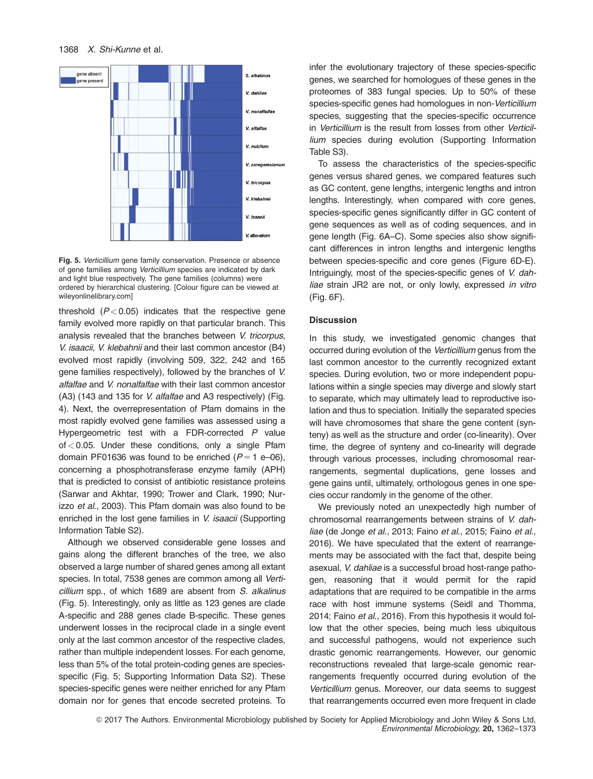

Fig. 5. Verticillium gene family conservation. Presence or absence of gene families among Verticillium species are indicated by dark and light blue respectively. The gene families (columns) were ordered by hierarchical clustering. [Colour figure can be viewed at [wileyonlinelibrary.com](http://wileyonlinelibrary.com)]

threshold  $(P< 0.05)$  indicates that the respective gene family evolved more rapidly on that particular branch. This analysis revealed that the branches between V. tricorpus, V. isaacii, V. klebahnii and their last common ancestor (B4) evolved most rapidly (involving 509, 322, 242 and 165 gene families respectively), followed by the branches of V. alfalfae and V. nonalfalfae with their last common ancestor (A3) (143 and 135 for V. alfalfae and A3 respectively) (Fig. 4). Next, the overrepresentation of Pfam domains in the most rapidly evolved gene families was assessed using a Hypergeometric test with a FDR-corrected P value  $of < 0.05$ . Under these conditions, only a single Pfam domain PF01636 was found to be enriched  $(P = 1 \text{ e}-06)$ , concerning a phosphotransferase enzyme family (APH) that is predicted to consist of antibiotic resistance proteins (Sarwar and Akhtar, 1990; Trower and Clark, 1990; Nurizzo et al., 2003). This Pfam domain was also found to be enriched in the lost gene families in V. isaacii (Supporting Information Table S2).

Although we observed considerable gene losses and gains along the different branches of the tree, we also observed a large number of shared genes among all extant species. In total, 7538 genes are common among all Verticillium spp., of which 1689 are absent from S. alkalinus (Fig. 5). Interestingly, only as little as 123 genes are clade A-specific and 288 genes clade B-specific. These genes underwent losses in the reciprocal clade in a single event only at the last common ancestor of the respective clades, rather than multiple independent losses. For each genome, less than 5% of the total protein-coding genes are speciesspecific (Fig. 5; Supporting Information Data S2). These species-specific genes were neither enriched for any Pfam domain nor for genes that encode secreted proteins. To

infer the evolutionary trajectory of these species-specific genes, we searched for homologues of these genes in the proteomes of 383 fungal species. Up to 50% of these species-specific genes had homologues in non-Verticillium species, suggesting that the species-specific occurrence in Verticillium is the result from losses from other Verticillium species during evolution (Supporting Information Table S3).

To assess the characteristics of the species-specific genes versus shared genes, we compared features such as GC content, gene lengths, intergenic lengths and intron lengths. Interestingly, when compared with core genes, species-specific genes significantly differ in GC content of gene sequences as well as of coding sequences, and in gene length (Fig. 6A–C). Some species also show significant differences in intron lengths and intergenic lengths between species-specific and core genes (Figure 6D-E). Intriguingly, most of the species-specific genes of V. dahliae strain JR2 are not, or only lowly, expressed in vitro (Fig. 6F).

## **Discussion**

In this study, we investigated genomic changes that occurred during evolution of the Verticillium genus from the last common ancestor to the currently recognized extant species. During evolution, two or more independent populations within a single species may diverge and slowly start to separate, which may ultimately lead to reproductive isolation and thus to speciation. Initially the separated species will have chromosomes that share the gene content (synteny) as well as the structure and order (co-linearity). Over time, the degree of synteny and co-linearity will degrade through various processes, including chromosomal rearrangements, segmental duplications, gene losses and gene gains until, ultimately, orthologous genes in one species occur randomly in the genome of the other.

We previously noted an unexpectedly high number of chromosomal rearrangements between strains of V. dahliae (de Jonge et al., 2013; Faino et al., 2015; Faino et al., 2016). We have speculated that the extent of rearrangements may be associated with the fact that, despite being asexual, V. dahliae is a successful broad host-range pathogen, reasoning that it would permit for the rapid adaptations that are required to be compatible in the arms race with host immune systems (Seidl and Thomma, 2014; Faino et al., 2016). From this hypothesis it would follow that the other species, being much less ubiquitous and successful pathogens, would not experience such drastic genomic rearrangements. However, our genomic reconstructions revealed that large-scale genomic rearrangements frequently occurred during evolution of the Verticillium genus. Moreover, our data seems to suggest that rearrangements occurred even more frequent in clade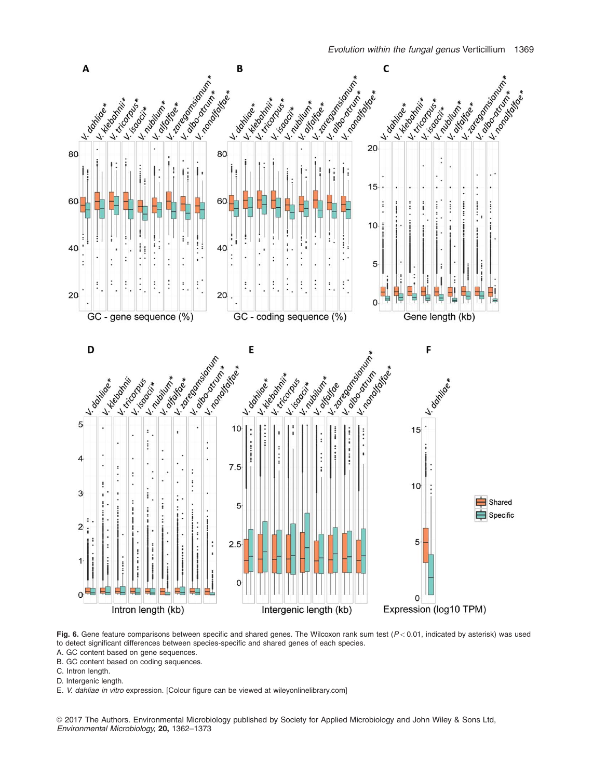

Fig. 6. Gene feature comparisons between specific and shared genes. The Wilcoxon rank sum test  $(P < 0.01$ , indicated by asterisk) was used to detect significant differences between species-specific and shared genes of each species.

- A. GC content based on gene sequences.
- B. GC content based on coding sequences.
- C. Intron length.
- D. Intergenic length.
- E. V. dahliae in vitro expression. [Colour figure can be viewed at [wileyonlinelibrary.com\]](http://wileyonlinelibrary.com)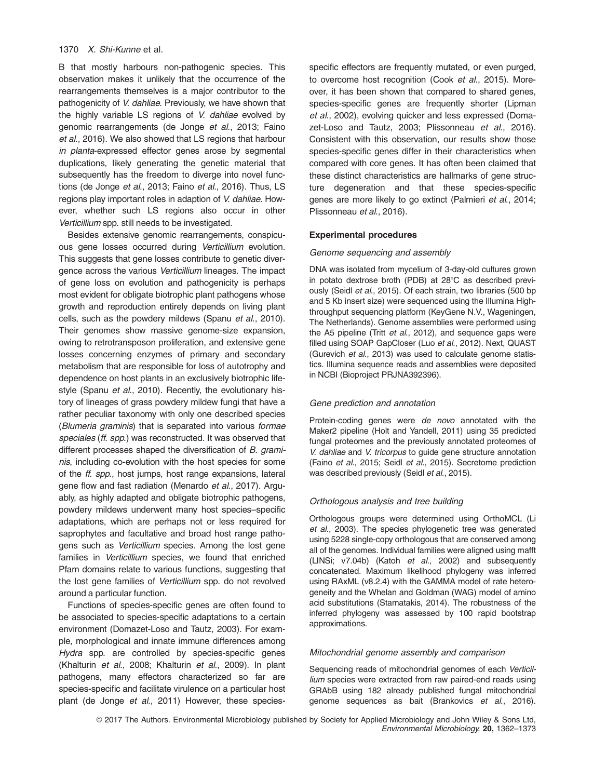B that mostly harbours non-pathogenic species. This observation makes it unlikely that the occurrence of the rearrangements themselves is a major contributor to the pathogenicity of V. dahliae. Previously, we have shown that the highly variable LS regions of V. dahliae evolved by genomic rearrangements (de Jonge et al., 2013; Faino et al., 2016). We also showed that LS regions that harbour in planta-expressed effector genes arose by segmental duplications, likely generating the genetic material that subsequently has the freedom to diverge into novel functions (de Jonge et al., 2013; Faino et al., 2016). Thus, LS regions play important roles in adaption of V. dahliae. However, whether such LS regions also occur in other Verticillium spp. still needs to be investigated.

Besides extensive genomic rearrangements, conspicuous gene losses occurred during Verticillium evolution. This suggests that gene losses contribute to genetic divergence across the various Verticillium lineages. The impact of gene loss on evolution and pathogenicity is perhaps most evident for obligate biotrophic plant pathogens whose growth and reproduction entirely depends on living plant cells, such as the powdery mildews (Spanu et al., 2010). Their genomes show massive genome-size expansion, owing to retrotransposon proliferation, and extensive gene losses concerning enzymes of primary and secondary metabolism that are responsible for loss of autotrophy and dependence on host plants in an exclusively biotrophic lifestyle (Spanu et al., 2010). Recently, the evolutionary history of lineages of grass powdery mildew fungi that have a rather peculiar taxonomy with only one described species (Blumeria graminis) that is separated into various formae speciales (ff. spp.) was reconstructed. It was observed that different processes shaped the diversification of B. graminis, including co-evolution with the host species for some of the *ff. spp.*, host jumps, host range expansions, lateral gene flow and fast radiation (Menardo et al., 2017). Arguably, as highly adapted and obligate biotrophic pathogens, powdery mildews underwent many host species–specific adaptations, which are perhaps not or less required for saprophytes and facultative and broad host range pathogens such as Verticillium species. Among the lost gene families in Verticillium species, we found that enriched Pfam domains relate to various functions, suggesting that the lost gene families of Verticillium spp. do not revolved around a particular function.

Functions of species-specific genes are often found to be associated to species-specific adaptations to a certain environment (Domazet-Loso and Tautz, 2003). For example, morphological and innate immune differences among Hydra spp. are controlled by species-specific genes (Khalturin et al., 2008; Khalturin et al., 2009). In plant pathogens, many effectors characterized so far are species-specific and facilitate virulence on a particular host plant (de Jonge et al., 2011) However, these species-

specific effectors are frequently mutated, or even purged, to overcome host recognition (Cook et al., 2015). Moreover, it has been shown that compared to shared genes, species-specific genes are frequently shorter (Lipman et al., 2002), evolving quicker and less expressed (Domazet-Loso and Tautz, 2003; Plissonneau et al., 2016). Consistent with this observation, our results show those species-specific genes differ in their characteristics when compared with core genes. It has often been claimed that these distinct characteristics are hallmarks of gene structure degeneration and that these species-specific genes are more likely to go extinct (Palmieri et al., 2014; Plissonneau et al., 2016).

## Experimental procedures

#### Genome sequencing and assembly

DNA was isolated from mycelium of 3-day-old cultures grown in potato dextrose broth (PDB) at  $28^{\circ}$ C as described previously (Seidl et al., 2015). Of each strain, two libraries (500 bp and 5 Kb insert size) were sequenced using the Illumina Highthroughput sequencing platform (KeyGene N.V., Wageningen, The Netherlands). Genome assemblies were performed using the A5 pipeline (Tritt et al., 2012), and sequence gaps were filled using SOAP GapCloser (Luo et al., 2012). Next, QUAST (Gurevich et al., 2013) was used to calculate genome statistics. Illumina sequence reads and assemblies were deposited in NCBI (Bioproject PRJNA392396).

#### Gene prediction and annotation

Protein-coding genes were *de novo* annotated with the Maker2 pipeline (Holt and Yandell, 2011) using 35 predicted fungal proteomes and the previously annotated proteomes of V. dahliae and V. tricorpus to guide gene structure annotation (Faino et al., 2015; Seidl et al., 2015). Secretome prediction was described previously (Seidl et al., 2015).

#### Orthologous analysis and tree building

Orthologous groups were determined using OrthoMCL (Li et al., 2003). The species phylogenetic tree was generated using 5228 single-copy orthologous that are conserved among all of the genomes. Individual families were aligned using mafft (LINSi; v7.04b) (Katoh et al., 2002) and subsequently concatenated. Maximum likelihood phylogeny was inferred using RAxML (v8.2.4) with the GAMMA model of rate heterogeneity and the Whelan and Goldman (WAG) model of amino acid substitutions (Stamatakis, 2014). The robustness of the inferred phylogeny was assessed by 100 rapid bootstrap approximations.

#### Mitochondrial genome assembly and comparison

Sequencing reads of mitochondrial genomes of each Verticillium species were extracted from raw paired-end reads using GRAbB using 182 already published fungal mitochondrial genome sequences as bait (Brankovics et al., 2016).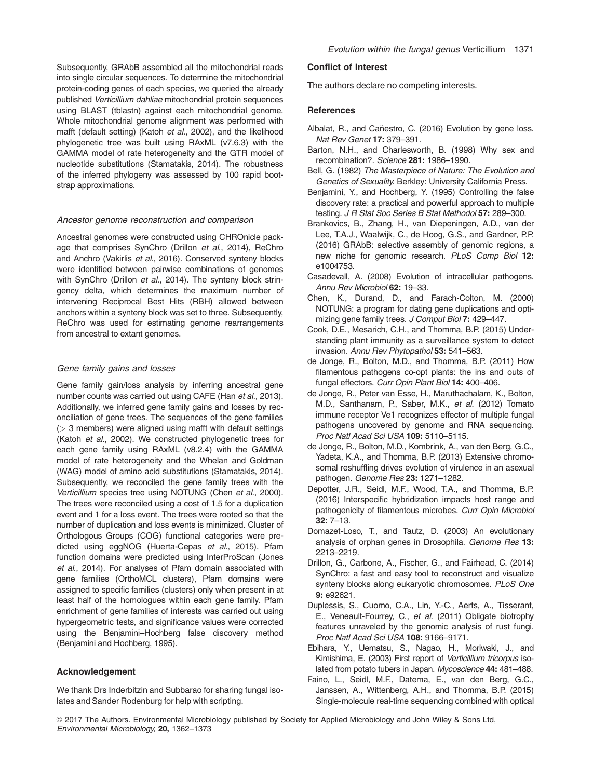Subsequently, GRAbB assembled all the mitochondrial reads into single circular sequences. To determine the mitochondrial protein-coding genes of each species, we queried the already published Verticillium dahliae mitochondrial protein sequences using BLAST (tblastn) against each mitochondrial genome. Whole mitochondrial genome alignment was performed with mafft (default setting) (Katoh et al., 2002), and the likelihood phylogenetic tree was built using RAxML (v7.6.3) with the GAMMA model of rate heterogeneity and the GTR model of nucleotide substitutions (Stamatakis, 2014). The robustness of the inferred phylogeny was assessed by 100 rapid bootstrap approximations.

#### Ancestor genome reconstruction and comparison

Ancestral genomes were constructed using CHROnicle package that comprises SynChro (Drillon et al., 2014), ReChro and Anchro (Vakirlis et al., 2016). Conserved synteny blocks were identified between pairwise combinations of genomes with SynChro (Drillon et al., 2014). The synteny block stringency delta, which determines the maximum number of intervening Reciprocal Best Hits (RBH) allowed between anchors within a synteny block was set to three. Subsequently, ReChro was used for estimating genome rearrangements from ancestral to extant genomes.

#### Gene family gains and losses

Gene family gain/loss analysis by inferring ancestral gene number counts was carried out using CAFE (Han et al., 2013). Additionally, we inferred gene family gains and losses by reconciliation of gene trees. The sequences of the gene families  $($  3 members) were aligned using mafft with default settings (Katoh et al., 2002). We constructed phylogenetic trees for each gene family using RAxML (v8.2.4) with the GAMMA model of rate heterogeneity and the Whelan and Goldman (WAG) model of amino acid substitutions (Stamatakis, 2014). Subsequently, we reconciled the gene family trees with the Verticillium species tree using NOTUNG (Chen et al., 2000). The trees were reconciled using a cost of 1.5 for a duplication event and 1 for a loss event. The trees were rooted so that the number of duplication and loss events is minimized. Cluster of Orthologous Groups (COG) functional categories were predicted using eggNOG (Huerta-Cepas et al., 2015). Pfam function domains were predicted using InterProScan (Jones et al., 2014). For analyses of Pfam domain associated with gene families (OrthoMCL clusters), Pfam domains were assigned to specific families (clusters) only when present in at least half of the homologues within each gene family. Pfam enrichment of gene families of interests was carried out using hypergeometric tests, and significance values were corrected using the Benjamini–Hochberg false discovery method (Benjamini and Hochberg, 1995).

## Acknowledgement

We thank Drs Inderbitzin and Subbarao for sharing fungal isolates and Sander Rodenburg for help with scripting.

## Conflict of Interest

The authors declare no competing interests.

## **References**

- Albalat, R., and Cañestro, C. (2016) Evolution by gene loss. Nat Rev Genet 17: 379–391.
- Barton, N.H., and Charlesworth, B. (1998) Why sex and recombination?. Science 281: 1986–1990.
- Bell, G. (1982) The Masterpiece of Nature: The Evolution and Genetics of Sexuality. Berkley: University California Press.
- Benjamini, Y., and Hochberg, Y. (1995) Controlling the false discovery rate: a practical and powerful approach to multiple testing. J R Stat Soc Series B Stat Methodol 57: 289-300.
- Brankovics, B., Zhang, H., van Diepeningen, A.D., van der Lee, T.A.J., Waalwijk, C., de Hoog, G.S., and Gardner, P.P. (2016) GRAbB: selective assembly of genomic regions, a new niche for genomic research. PLoS Comp Biol 12: e1004753.
- Casadevall, A. (2008) Evolution of intracellular pathogens. Annu Rev Microbiol 62: 19–33.
- Chen, K., Durand, D., and Farach-Colton, M. (2000) NOTUNG: a program for dating gene duplications and optimizing gene family trees. J Comput Biol 7: 429-447.
- Cook, D.E., Mesarich, C.H., and Thomma, B.P. (2015) Understanding plant immunity as a surveillance system to detect invasion. Annu Rev Phytopathol 53: 541–563.
- de Jonge, R., Bolton, M.D., and Thomma, B.P. (2011) How filamentous pathogens co-opt plants: the ins and outs of fungal effectors. Curr Opin Plant Biol 14: 400-406.
- de Jonge, R., Peter van Esse, H., Maruthachalam, K., Bolton, M.D., Santhanam, P., Saber, M.K., et al. (2012) Tomato immune receptor Ve1 recognizes effector of multiple fungal pathogens uncovered by genome and RNA sequencing. Proc Natl Acad Sci USA 109: 5110–5115.
- de Jonge, R., Bolton, M.D., Kombrink, A., van den Berg, G.C., Yadeta, K.A., and Thomma, B.P. (2013) Extensive chromosomal reshuffling drives evolution of virulence in an asexual pathogen. Genome Res 23: 1271-1282.
- Depotter, J.R., Seidl, M.F., Wood, T.A., and Thomma, B.P. (2016) Interspecific hybridization impacts host range and pathogenicity of filamentous microbes. Curr Opin Microbiol 32: 7–13.
- Domazet-Loso, T., and Tautz, D. (2003) An evolutionary analysis of orphan genes in Drosophila. Genome Res 13: 2213–2219.
- Drillon, G., Carbone, A., Fischer, G., and Fairhead, C. (2014) SynChro: a fast and easy tool to reconstruct and visualize synteny blocks along eukaryotic chromosomes. PLoS One 9: e92621.
- Duplessis, S., Cuomo, C.A., Lin, Y.-C., Aerts, A., Tisserant, E., Veneault-Fourrey, C., et al. (2011) Obligate biotrophy features unraveled by the genomic analysis of rust fungi. Proc Natl Acad Sci USA 108: 9166–9171.
- Ebihara, Y., Uematsu, S., Nagao, H., Moriwaki, J., and Kimishima, E. (2003) First report of Verticillium tricorpus isolated from potato tubers in Japan. Mycoscience 44: 481-488.
- Faino, L., Seidl, M.F., Datema, E., van den Berg, G.C., Janssen, A., Wittenberg, A.H., and Thomma, B.P. (2015) Single-molecule real-time sequencing combined with optical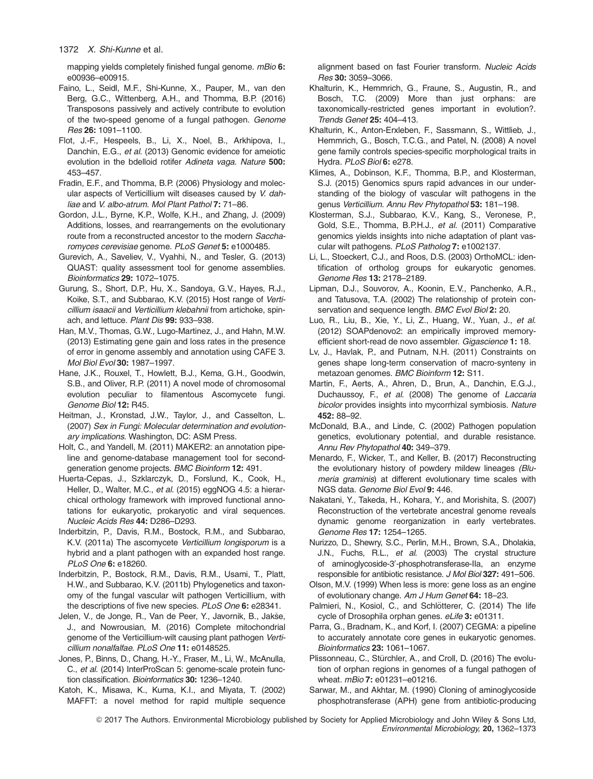mapping yields completely finished fungal genome. mBio 6: e00936–e00915.

- Faino, L., Seidl, M.F., Shi-Kunne, X., Pauper, M., van den Berg, G.C., Wittenberg, A.H., and Thomma, B.P. (2016) Transposons passively and actively contribute to evolution of the two-speed genome of a fungal pathogen. Genome Res 26: 1091–1100.
- Flot, J.-F., Hespeels, B., Li, X., Noel, B., Arkhipova, I., Danchin, E.G., et al. (2013) Genomic evidence for ameiotic evolution in the bdelloid rotifer Adineta vaga. Nature 500: 453–457.
- Fradin, E.F., and Thomma, B.P. (2006) Physiology and molecular aspects of Verticillium wilt diseases caused by V. dahliae and V. albo-atrum. Mol Plant Pathol 7: 71-86.
- Gordon, J.L., Byrne, K.P., Wolfe, K.H., and Zhang, J. (2009) Additions, losses, and rearrangements on the evolutionary route from a reconstructed ancestor to the modern Saccharomyces cerevisiae genome. PLoS Genet 5: e1000485.
- Gurevich, A., Saveliev, V., Vyahhi, N., and Tesler, G. (2013) QUAST: quality assessment tool for genome assemblies. Bioinformatics 29: 1072–1075.
- Gurung, S., Short, D.P., Hu, X., Sandoya, G.V., Hayes, R.J., Koike, S.T., and Subbarao, K.V. (2015) Host range of Verticillium isaacii and Verticillium klebahnii from artichoke, spinach, and lettuce. Plant Dis 99: 933–938.
- Han, M.V., Thomas, G.W., Lugo-Martinez, J., and Hahn, M.W. (2013) Estimating gene gain and loss rates in the presence of error in genome assembly and annotation using CAFE 3. Mol Biol Evol 30: 1987–1997.
- Hane, J.K., Rouxel, T., Howlett, B.J., Kema, G.H., Goodwin, S.B., and Oliver, R.P. (2011) A novel mode of chromosomal evolution peculiar to filamentous Ascomycete fungi. Genome Biol 12: R45.
- Heitman, J., Kronstad, J.W., Taylor, J., and Casselton, L. (2007) Sex in Fungi: Molecular determination and evolutionary implications. Washington, DC: ASM Press.
- Holt, C., and Yandell, M. (2011) MAKER2: an annotation pipeline and genome-database management tool for secondgeneration genome projects. BMC Bioinform 12: 491.
- Huerta-Cepas, J., Szklarczyk, D., Forslund, K., Cook, H., Heller, D., Walter, M.C., et al. (2015) eggNOG 4.5: a hierarchical orthology framework with improved functional annotations for eukaryotic, prokaryotic and viral sequences. Nucleic Acids Res 44: D286–D293.
- Inderbitzin, P., Davis, R.M., Bostock, R.M., and Subbarao, K.V. (2011a) The ascomycete Verticillium longisporum is a hybrid and a plant pathogen with an expanded host range. PLoS One 6: e18260.
- Inderbitzin, P., Bostock, R.M., Davis, R.M., Usami, T., Platt, H.W., and Subbarao, K.V. (2011b) Phylogenetics and taxonomy of the fungal vascular wilt pathogen Verticillium, with the descriptions of five new species. PLoS One 6: e28341.
- Jelen, V., de Jonge, R., Van de Peer, Y., Javornik, B., Jakše, J., and Nowrousian, M. (2016) Complete mitochondrial genome of the Verticillium-wilt causing plant pathogen Verticillium nonalfalfae. PLoS One 11: e0148525.
- Jones, P., Binns, D., Chang, H.-Y., Fraser, M., Li, W., McAnulla, C., et al. (2014) InterProScan 5: genome-scale protein function classification. Bioinformatics 30: 1236-1240.
- Katoh, K., Misawa, K., Kuma, K.I., and Miyata, T. (2002) MAFFT: a novel method for rapid multiple sequence

alignment based on fast Fourier transform. Nucleic Acids Res 30: 3059–3066.

- Khalturin, K., Hemmrich, G., Fraune, S., Augustin, R., and Bosch, T.C. (2009) More than just orphans: are taxonomically-restricted genes important in evolution?. Trends Genet 25: 404–413.
- Khalturin, K., Anton-Erxleben, F., Sassmann, S., Wittlieb, J., Hemmrich, G., Bosch, T.C.G., and Patel, N. (2008) A novel gene family controls species-specific morphological traits in Hydra. PLoS Biol 6: e278.
- Klimes, A., Dobinson, K.F., Thomma, B.P., and Klosterman, S.J. (2015) Genomics spurs rapid advances in our understanding of the biology of vascular wilt pathogens in the genus Verticillium. Annu Rev Phytopathol 53: 181–198.
- Klosterman, S.J., Subbarao, K.V., Kang, S., Veronese, P., Gold, S.E., Thomma, B.P.H.J., et al. (2011) Comparative genomics yields insights into niche adaptation of plant vascular wilt pathogens. PLoS Patholog 7: e1002137.
- Li, L., Stoeckert, C.J., and Roos, D.S. (2003) OrthoMCL: identification of ortholog groups for eukaryotic genomes. Genome Res 13: 2178–2189.
- Lipman, D.J., Souvorov, A., Koonin, E.V., Panchenko, A.R., and Tatusova, T.A. (2002) The relationship of protein conservation and sequence length. BMC Evol Biol 2: 20.
- Luo, R., Liu, B., Xie, Y., Li, Z., Huang, W., Yuan, J., et al. (2012) SOAPdenovo2: an empirically improved memoryefficient short-read de novo assembler. Gigascience 1: 18.
- Lv, J., Havlak, P., and Putnam, N.H. (2011) Constraints on genes shape long-term conservation of macro-synteny in metazoan genomes. BMC Bioinform 12: S11.
- Martin, F., Aerts, A., Ahren, D., Brun, A., Danchin, E.G.J., Duchaussoy, F., et al. (2008) The genome of Laccaria bicolor provides insights into mycorrhizal symbiosis. Nature 452: 88–92.
- McDonald, B.A., and Linde, C. (2002) Pathogen population genetics, evolutionary potential, and durable resistance. Annu Rev Phytopathol 40: 349–379.
- Menardo, F., Wicker, T., and Keller, B. (2017) Reconstructing the evolutionary history of powdery mildew lineages (Blumeria graminis) at different evolutionary time scales with NGS data. Genome Biol Evol 9: 446.
- Nakatani, Y., Takeda, H., Kohara, Y., and Morishita, S. (2007) Reconstruction of the vertebrate ancestral genome reveals dynamic genome reorganization in early vertebrates. Genome Res 17: 1254–1265.
- Nurizzo, D., Shewry, S.C., Perlin, M.H., Brown, S.A., Dholakia, J.N., Fuchs, R.L., et al. (2003) The crystal structure of aminoglycoside-3'-phosphotransferase-Ila, an enzyme responsible for antibiotic resistance. J Mol Biol 327: 491–506.
- Olson, M.V. (1999) When less is more: gene loss as an engine of evolutionary change. Am J Hum Genet 64: 18–23.
- Palmieri, N., Kosiol, C., and Schlötterer, C. (2014) The life cycle of Drosophila orphan genes. eLife 3: e01311.
- Parra, G., Bradnam, K., and Korf, I. (2007) CEGMA: a pipeline to accurately annotate core genes in eukaryotic genomes. Bioinformatics 23: 1061–1067.
- Plissonneau, C., Stürchler, A., and Croll, D. (2016) The evolution of orphan regions in genomes of a fungal pathogen of wheat. mBio 7: e01231–e01216.
- Sarwar, M., and Akhtar, M. (1990) Cloning of aminoglycoside phosphotransferase (APH) gene from antibiotic-producing

 $©$  2017 The Authors. Environmental Microbiology published by Society for Applied Microbiology and John Wiley & Sons Ltd, Environmental Microbiology, 20, 1362–1373